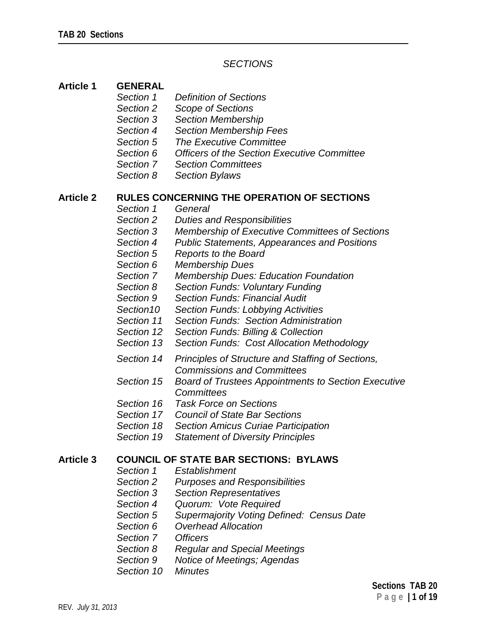## *SECTIONS*

## **Article 1 GENERAL**

- *Section 1 Definition of Sections*
- *Section 2 Scope of Sections*
- *Section 3 Section Membership*
- *Section 4 Section Membership Fees*
- *Section 5 The Executive Committee*
- *Section 6 Officers of the Section Executive Committee*
- *Section 7 Section Committees*
- *Section 8 Section Bylaws*

### **Article 2 RULES CONCERNING THE OPERATION OF SECTIONS**

- *Section 1 General*
- *Section 2 Duties and Responsibilities*
- *Section 3 Membership of Executive Committees of Sections*
- *Section 4 Public Statements, Appearances and Positions*
- *Section 5 Reports to the Board*
- *Section 6 Membership Dues*
- *Section 7 Membership Dues: Education Foundation*
- *Section 8 Section Funds: Voluntary Funding*
- *Section 9 Section Funds: Financial Audit*
- *Section10 Section Funds: Lobbying Activities*
- *Section 11 Section Funds: Section Administration*
- *Section 12 Section Funds: Billing & Collection*
- *Section 13 Section Funds: Cost Allocation Methodology*
- *Section 14 Principles of Structure and Staffing of Sections, Commissions and Committees*
- *Section 15 Board of Trustees Appointments to Section Executive Committees*
- *Section 16 Task Force on Sections*
- *Section 17 Council of State Bar Sections*
- *Section 18 Section Amicus Curiae Participation*
- *Section 19 Statement of Diversity Principles*

## **Article 3 COUNCIL OF STATE BAR SECTIONS: BYLAWS**

- *Section 1 Establishment*
- *Section 2 Purposes and Responsibilities*
- *Section 3 Section Representatives*
- *Section 4 Quorum: Vote Required*
- *Section 5 Supermajority Voting Defined: Census Date*
- *Section 6 Overhead Allocation*
- *Section 7 Officers*
- *Section 8 Regular and Special Meetings*
- *Section 9 Notice of Meetings; Agendas*
- *Section 10 Minutes*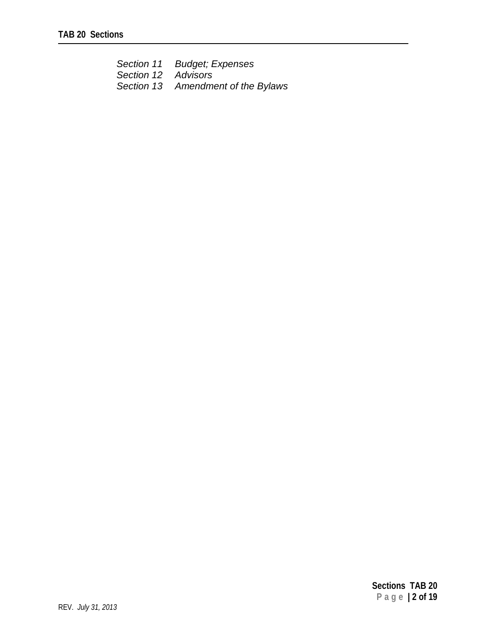|                     | Section 11 Budget; Expenses        |
|---------------------|------------------------------------|
| Section 12 Advisors |                                    |
|                     | Section 13 Amendment of the Bylaws |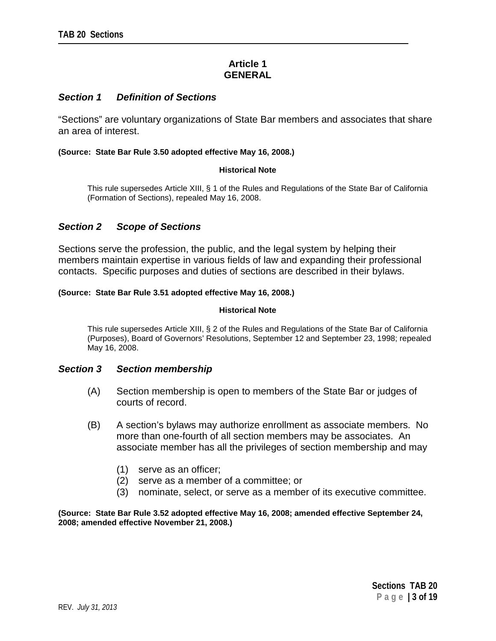# **Article 1 GENERAL**

## *Section 1 Definition of Sections*

"Sections" are voluntary organizations of State Bar members and associates that share an area of interest.

#### **(Source: State Bar Rule 3.50 adopted effective May 16, 2008.)**

#### **Historical Note**

This rule supersedes Article XIII, § 1 of the Rules and Regulations of the State Bar of California (Formation of Sections), repealed May 16, 2008.

## *Section 2 Scope of Sections*

Sections serve the profession, the public, and the legal system by helping their members maintain expertise in various fields of law and expanding their professional contacts. Specific purposes and duties of sections are described in their bylaws.

#### **(Source: State Bar Rule 3.51 adopted effective May 16, 2008.)**

#### **Historical Note**

This rule supersedes Article XIII, § 2 of the Rules and Regulations of the State Bar of California (Purposes), Board of Governors' Resolutions, September 12 and September 23, 1998; repealed May 16, 2008.

#### *Section 3 Section membership*

- (A) Section membership is open to members of the State Bar or judges of courts of record.
- (B) A section's bylaws may authorize enrollment as associate members. No more than one-fourth of all section members may be associates. An associate member has all the privileges of section membership and may
	- (1) serve as an officer;
	- (2) serve as a member of a committee; or
	- (3) nominate, select, or serve as a member of its executive committee.

#### **(Source: State Bar Rule 3.52 adopted effective May 16, 2008; amended effective September 24, 2008; amended effective November 21, 2008.)**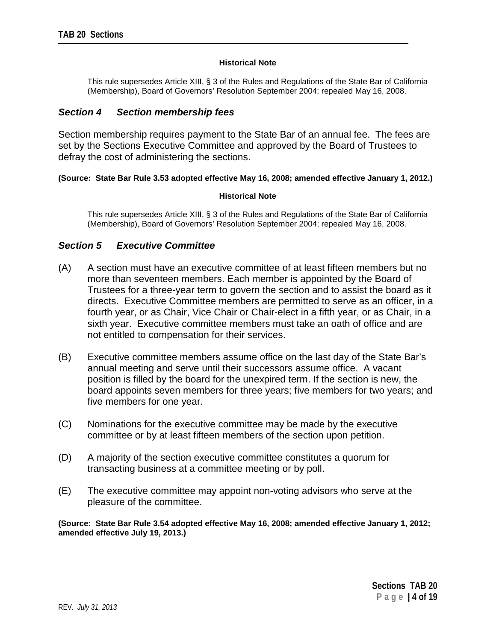#### **Historical Note**

This rule supersedes Article XIII, § 3 of the Rules and Regulations of the State Bar of California (Membership), Board of Governors' Resolution September 2004; repealed May 16, 2008.

## *Section 4 Section membership fees*

Section membership requires payment to the State Bar of an annual fee. The fees are set by the Sections Executive Committee and approved by the Board of Trustees to defray the cost of administering the sections.

### **(Source: State Bar Rule 3.53 adopted effective May 16, 2008; amended effective January 1, 2012.)**

#### **Historical Note**

This rule supersedes Article XIII, § 3 of the Rules and Regulations of the State Bar of California (Membership), Board of Governors' Resolution September 2004; repealed May 16, 2008.

# *Section 5 Executive Committee*

- (A) A section must have an executive committee of at least fifteen members but no more than seventeen members. Each member is appointed by the Board of Trustees for a three-year term to govern the section and to assist the board as it directs. Executive Committee members are permitted to serve as an officer, in a fourth year, or as Chair, Vice Chair or Chair-elect in a fifth year, or as Chair, in a sixth year. Executive committee members must take an oath of office and are not entitled to compensation for their services.
- (B) Executive committee members assume office on the last day of the State Bar's annual meeting and serve until their successors assume office. A vacant position is filled by the board for the unexpired term. If the section is new, the board appoints seven members for three years; five members for two years; and five members for one year.
- (C) Nominations for the executive committee may be made by the executive committee or by at least fifteen members of the section upon petition.
- (D) A majority of the section executive committee constitutes a quorum for transacting business at a committee meeting or by poll.
- (E) The executive committee may appoint non-voting advisors who serve at the pleasure of the committee.

**(Source: State Bar Rule 3.54 adopted effective May 16, 2008; amended effective January 1, 2012; amended effective July 19, 2013.)**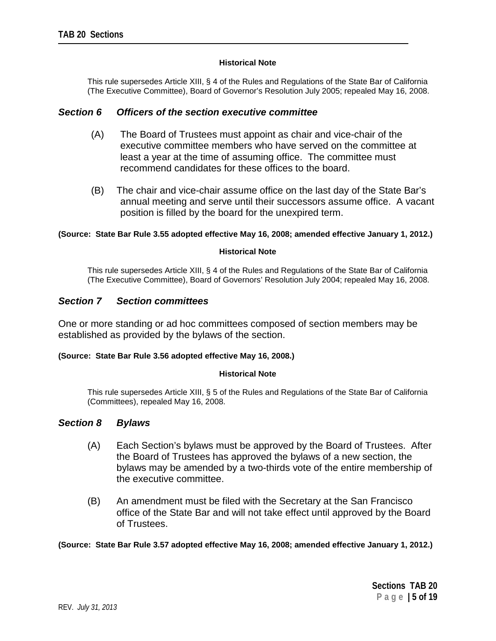#### **Historical Note**

This rule supersedes Article XIII, § 4 of the Rules and Regulations of the State Bar of California (The Executive Committee), Board of Governor's Resolution July 2005; repealed May 16, 2008.

### *Section 6 Officers of the section executive committee*

- (A) The Board of Trustees must appoint as chair and vice-chair of the executive committee members who have served on the committee at least a year at the time of assuming office. The committee must recommend candidates for these offices to the board.
- (B) The chair and vice-chair assume office on the last day of the State Bar's annual meeting and serve until their successors assume office. A vacant position is filled by the board for the unexpired term.

#### **(Source: State Bar Rule 3.55 adopted effective May 16, 2008; amended effective January 1, 2012.)**

#### **Historical Note**

This rule supersedes Article XIII, § 4 of the Rules and Regulations of the State Bar of California (The Executive Committee), Board of Governors' Resolution July 2004; repealed May 16, 2008.

### *Section 7 Section committees*

One or more standing or ad hoc committees composed of section members may be established as provided by the bylaws of the section.

#### **(Source: State Bar Rule 3.56 adopted effective May 16, 2008.)**

#### **Historical Note**

This rule supersedes Article XIII, § 5 of the Rules and Regulations of the State Bar of California (Committees), repealed May 16, 2008.

### *Section 8 Bylaws*

- (A) Each Section's bylaws must be approved by the Board of Trustees. After the Board of Trustees has approved the bylaws of a new section, the bylaws may be amended by a two-thirds vote of the entire membership of the executive committee.
- (B) An amendment must be filed with the Secretary at the San Francisco office of the State Bar and will not take effect until approved by the Board of Trustees.

**(Source: State Bar Rule 3.57 adopted effective May 16, 2008; amended effective January 1, 2012.)**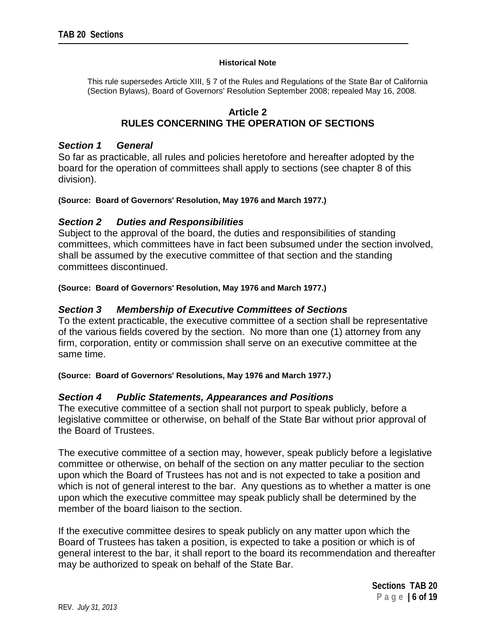#### **Historical Note**

This rule supersedes Article XIII, § 7 of the Rules and Regulations of the State Bar of California (Section Bylaws), Board of Governors' Resolution September 2008; repealed May 16, 2008.

## **Article 2 RULES CONCERNING THE OPERATION OF SECTIONS**

## *Section 1 General*

So far as practicable, all rules and policies heretofore and hereafter adopted by the board for the operation of committees shall apply to sections (see chapter 8 of this division).

### **(Source: Board of Governors' Resolution, May 1976 and March 1977.)**

## *Section 2 Duties and Responsibilities*

Subject to the approval of the board, the duties and responsibilities of standing committees, which committees have in fact been subsumed under the section involved, shall be assumed by the executive committee of that section and the standing committees discontinued.

**(Source: Board of Governors' Resolution, May 1976 and March 1977.)**

### *Section 3 Membership of Executive Committees of Sections*

To the extent practicable, the executive committee of a section shall be representative of the various fields covered by the section. No more than one (1) attorney from any firm, corporation, entity or commission shall serve on an executive committee at the same time.

**(Source: Board of Governors' Resolutions, May 1976 and March 1977.)**

### *Section 4 Public Statements, Appearances and Positions*

The executive committee of a section shall not purport to speak publicly, before a legislative committee or otherwise, on behalf of the State Bar without prior approval of the Board of Trustees.

The executive committee of a section may, however, speak publicly before a legislative committee or otherwise, on behalf of the section on any matter peculiar to the section upon which the Board of Trustees has not and is not expected to take a position and which is not of general interest to the bar. Any questions as to whether a matter is one upon which the executive committee may speak publicly shall be determined by the member of the board liaison to the section.

If the executive committee desires to speak publicly on any matter upon which the Board of Trustees has taken a position, is expected to take a position or which is of general interest to the bar, it shall report to the board its recommendation and thereafter may be authorized to speak on behalf of the State Bar.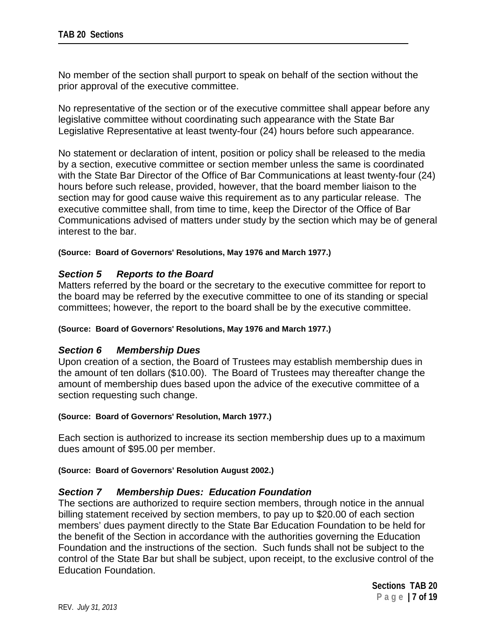No member of the section shall purport to speak on behalf of the section without the prior approval of the executive committee.

No representative of the section or of the executive committee shall appear before any legislative committee without coordinating such appearance with the State Bar Legislative Representative at least twenty-four (24) hours before such appearance.

No statement or declaration of intent, position or policy shall be released to the media by a section, executive committee or section member unless the same is coordinated with the State Bar Director of the Office of Bar Communications at least twenty-four (24) hours before such release, provided, however, that the board member liaison to the section may for good cause waive this requirement as to any particular release. The executive committee shall, from time to time, keep the Director of the Office of Bar Communications advised of matters under study by the section which may be of general interest to the bar.

### **(Source: Board of Governors' Resolutions, May 1976 and March 1977.)**

# *Section 5 Reports to the Board*

Matters referred by the board or the secretary to the executive committee for report to the board may be referred by the executive committee to one of its standing or special committees; however, the report to the board shall be by the executive committee.

#### **(Source: Board of Governors' Resolutions, May 1976 and March 1977.)**

### *Section 6 Membership Dues*

Upon creation of a section, the Board of Trustees may establish membership dues in the amount of ten dollars (\$10.00). The Board of Trustees may thereafter change the amount of membership dues based upon the advice of the executive committee of a section requesting such change.

#### **(Source: Board of Governors' Resolution, March 1977.)**

Each section is authorized to increase its section membership dues up to a maximum dues amount of \$95.00 per member.

#### **(Source: Board of Governors' Resolution August 2002.)**

### *Section 7 Membership Dues: Education Foundation*

The sections are authorized to require section members, through notice in the annual billing statement received by section members, to pay up to \$20.00 of each section members' dues payment directly to the State Bar Education Foundation to be held for the benefit of the Section in accordance with the authorities governing the Education Foundation and the instructions of the section. Such funds shall not be subject to the control of the State Bar but shall be subject, upon receipt, to the exclusive control of the Education Foundation.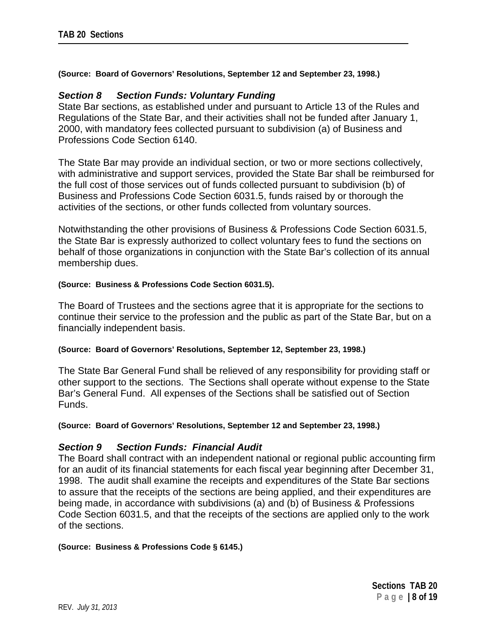### **(Source: Board of Governors' Resolutions, September 12 and September 23, 1998.)**

### *Section 8 Section Funds: Voluntary Funding*

State Bar sections, as established under and pursuant to Article 13 of the Rules and Regulations of the State Bar, and their activities shall not be funded after January 1, 2000, with mandatory fees collected pursuant to subdivision (a) of Business and Professions Code Section 6140.

The State Bar may provide an individual section, or two or more sections collectively, with administrative and support services, provided the State Bar shall be reimbursed for the full cost of those services out of funds collected pursuant to subdivision (b) of Business and Professions Code Section 6031.5, funds raised by or thorough the activities of the sections, or other funds collected from voluntary sources.

Notwithstanding the other provisions of Business & Professions Code Section 6031.5, the State Bar is expressly authorized to collect voluntary fees to fund the sections on behalf of those organizations in conjunction with the State Bar's collection of its annual membership dues.

### **(Source: Business & Professions Code Section 6031.5).**

The Board of Trustees and the sections agree that it is appropriate for the sections to continue their service to the profession and the public as part of the State Bar, but on a financially independent basis.

#### **(Source: Board of Governors' Resolutions, September 12, September 23, 1998.)**

The State Bar General Fund shall be relieved of any responsibility for providing staff or other support to the sections. The Sections shall operate without expense to the State Bar's General Fund. All expenses of the Sections shall be satisfied out of Section Funds.

#### **(Source: Board of Governors' Resolutions, September 12 and September 23, 1998.)**

### *Section 9 Section Funds: Financial Audit*

The Board shall contract with an independent national or regional public accounting firm for an audit of its financial statements for each fiscal year beginning after December 31, 1998. The audit shall examine the receipts and expenditures of the State Bar sections to assure that the receipts of the sections are being applied, and their expenditures are being made, in accordance with subdivisions (a) and (b) of Business & Professions Code Section 6031.5, and that the receipts of the sections are applied only to the work of the sections.

#### **(Source: Business & Professions Code § 6145.)**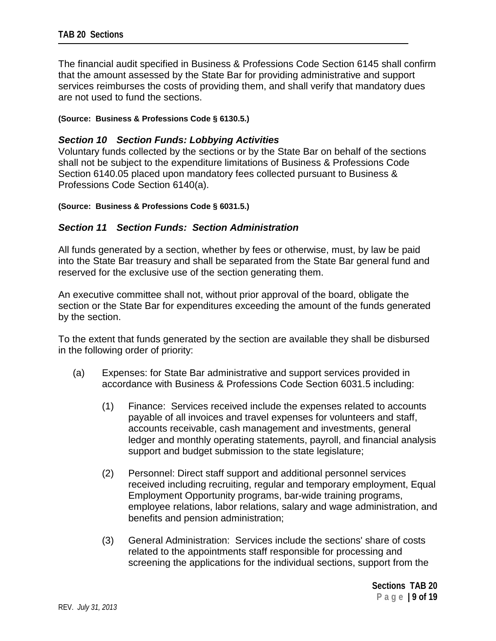The financial audit specified in Business & Professions Code Section 6145 shall confirm that the amount assessed by the State Bar for providing administrative and support services reimburses the costs of providing them, and shall verify that mandatory dues are not used to fund the sections.

### **(Source: Business & Professions Code § 6130.5.)**

## *Section 10 Section Funds: Lobbying Activities*

Voluntary funds collected by the sections or by the State Bar on behalf of the sections shall not be subject to the expenditure limitations of Business & Professions Code Section 6140.05 placed upon mandatory fees collected pursuant to Business & Professions Code Section 6140(a).

### **(Source: Business & Professions Code § 6031.5.)**

## *Section 11 Section Funds: Section Administration*

All funds generated by a section, whether by fees or otherwise, must, by law be paid into the State Bar treasury and shall be separated from the State Bar general fund and reserved for the exclusive use of the section generating them.

An executive committee shall not, without prior approval of the board, obligate the section or the State Bar for expenditures exceeding the amount of the funds generated by the section.

To the extent that funds generated by the section are available they shall be disbursed in the following order of priority:

- (a) Expenses: for State Bar administrative and support services provided in accordance with Business & Professions Code Section 6031.5 including:
	- (1) Finance: Services received include the expenses related to accounts payable of all invoices and travel expenses for volunteers and staff, accounts receivable, cash management and investments, general ledger and monthly operating statements, payroll, and financial analysis support and budget submission to the state legislature;
	- (2) Personnel: Direct staff support and additional personnel services received including recruiting, regular and temporary employment, Equal Employment Opportunity programs, bar-wide training programs, employee relations, labor relations, salary and wage administration, and benefits and pension administration;
	- (3) General Administration: Services include the sections' share of costs related to the appointments staff responsible for processing and screening the applications for the individual sections, support from the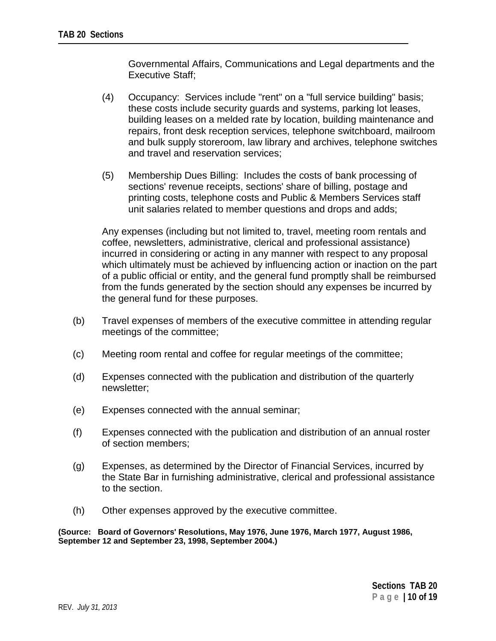Governmental Affairs, Communications and Legal departments and the Executive Staff;

- (4) Occupancy: Services include "rent" on a "full service building" basis; these costs include security guards and systems, parking lot leases, building leases on a melded rate by location, building maintenance and repairs, front desk reception services, telephone switchboard, mailroom and bulk supply storeroom, law library and archives, telephone switches and travel and reservation services;
- (5) Membership Dues Billing: Includes the costs of bank processing of sections' revenue receipts, sections' share of billing, postage and printing costs, telephone costs and Public & Members Services staff unit salaries related to member questions and drops and adds;

Any expenses (including but not limited to, travel, meeting room rentals and coffee, newsletters, administrative, clerical and professional assistance) incurred in considering or acting in any manner with respect to any proposal which ultimately must be achieved by influencing action or inaction on the part of a public official or entity, and the general fund promptly shall be reimbursed from the funds generated by the section should any expenses be incurred by the general fund for these purposes.

- (b) Travel expenses of members of the executive committee in attending regular meetings of the committee;
- (c) Meeting room rental and coffee for regular meetings of the committee;
- (d) Expenses connected with the publication and distribution of the quarterly newsletter;
- (e) Expenses connected with the annual seminar;
- (f) Expenses connected with the publication and distribution of an annual roster of section members;
- (g) Expenses, as determined by the Director of Financial Services, incurred by the State Bar in furnishing administrative, clerical and professional assistance to the section.
- (h) Other expenses approved by the executive committee.

**(Source: Board of Governors' Resolutions, May 1976, June 1976, March 1977, August 1986, September 12 and September 23, 1998, September 2004.)**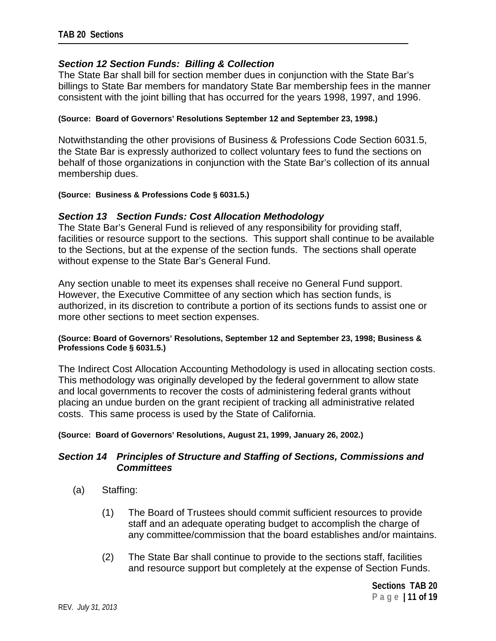# *Section 12 Section Funds: Billing & Collection*

The State Bar shall bill for section member dues in conjunction with the State Bar's billings to State Bar members for mandatory State Bar membership fees in the manner consistent with the joint billing that has occurred for the years 1998, 1997, and 1996.

### **(Source: Board of Governors' Resolutions September 12 and September 23, 1998.)**

Notwithstanding the other provisions of Business & Professions Code Section 6031.5, the State Bar is expressly authorized to collect voluntary fees to fund the sections on behalf of those organizations in conjunction with the State Bar's collection of its annual membership dues.

### **(Source: Business & Professions Code § 6031.5.)**

## *Section 13 Section Funds: Cost Allocation Methodology*

The State Bar's General Fund is relieved of any responsibility for providing staff, facilities or resource support to the sections. This support shall continue to be available to the Sections, but at the expense of the section funds. The sections shall operate without expense to the State Bar's General Fund.

Any section unable to meet its expenses shall receive no General Fund support. However, the Executive Committee of any section which has section funds, is authorized, in its discretion to contribute a portion of its sections funds to assist one or more other sections to meet section expenses.

### **(Source: Board of Governors' Resolutions, September 12 and September 23, 1998; Business & Professions Code § 6031.5.)**

The Indirect Cost Allocation Accounting Methodology is used in allocating section costs. This methodology was originally developed by the federal government to allow state and local governments to recover the costs of administering federal grants without placing an undue burden on the grant recipient of tracking all administrative related costs. This same process is used by the State of California.

#### **(Source: Board of Governors' Resolutions, August 21, 1999, January 26, 2002.)**

## *Section 14 Principles of Structure and Staffing of Sections, Commissions and Committees*

- (a) Staffing:
	- (1) The Board of Trustees should commit sufficient resources to provide staff and an adequate operating budget to accomplish the charge of any committee/commission that the board establishes and/or maintains.
	- (2) The State Bar shall continue to provide to the sections staff, facilities and resource support but completely at the expense of Section Funds.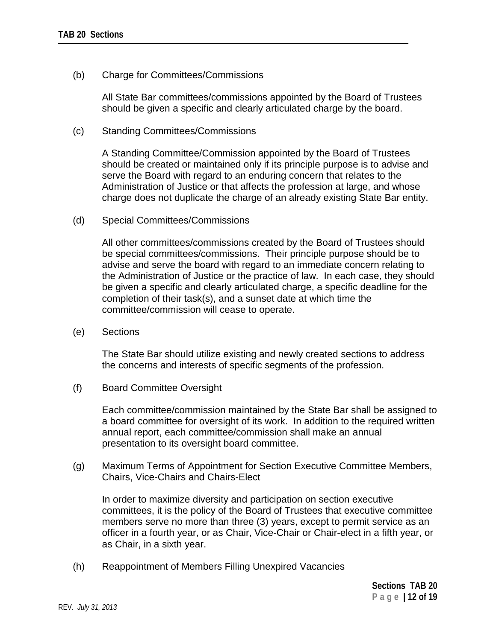(b) Charge for Committees/Commissions

All State Bar committees/commissions appointed by the Board of Trustees should be given a specific and clearly articulated charge by the board.

(c) Standing Committees/Commissions

A Standing Committee/Commission appointed by the Board of Trustees should be created or maintained only if its principle purpose is to advise and serve the Board with regard to an enduring concern that relates to the Administration of Justice or that affects the profession at large, and whose charge does not duplicate the charge of an already existing State Bar entity.

(d) Special Committees/Commissions

All other committees/commissions created by the Board of Trustees should be special committees/commissions. Their principle purpose should be to advise and serve the board with regard to an immediate concern relating to the Administration of Justice or the practice of law. In each case, they should be given a specific and clearly articulated charge, a specific deadline for the completion of their task(s), and a sunset date at which time the committee/commission will cease to operate.

(e) Sections

The State Bar should utilize existing and newly created sections to address the concerns and interests of specific segments of the profession.

(f) Board Committee Oversight

Each committee/commission maintained by the State Bar shall be assigned to a board committee for oversight of its work. In addition to the required written annual report, each committee/commission shall make an annual presentation to its oversight board committee.

(g) Maximum Terms of Appointment for Section Executive Committee Members, Chairs, Vice-Chairs and Chairs-Elect

In order to maximize diversity and participation on section executive committees, it is the policy of the Board of Trustees that executive committee members serve no more than three (3) years, except to permit service as an officer in a fourth year, or as Chair, Vice-Chair or Chair-elect in a fifth year, or as Chair, in a sixth year.

(h) Reappointment of Members Filling Unexpired Vacancies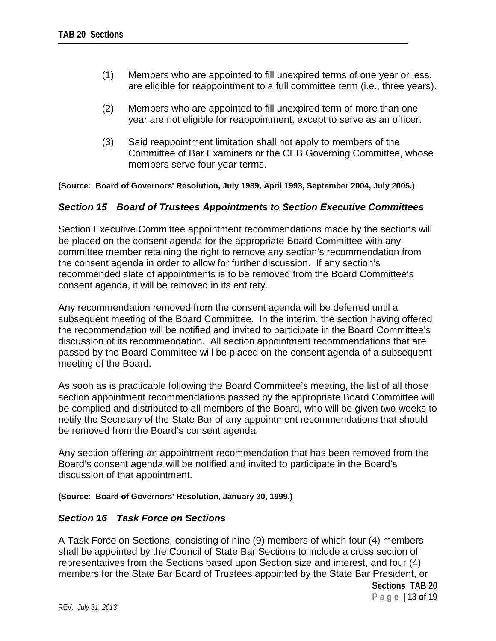- (1) Members who are appointed to fill unexpired terms of one year or less, are eligible for reappointment to a full committee term (i.e., three years).
- (2) Members who are appointed to fill unexpired term of more than one year are not eligible for reappointment, except to serve as an officer.
- (3) Said reappointment limitation shall not apply to members of the Committee of Bar Examiners or the CEB Governing Committee, whose members serve four-year terms.

**(Source: Board of Governors' Resolution, July 1989, April 1993, September 2004, July 2005.)**

### *Section 15 Board of Trustees Appointments to Section Executive Committees*

Section Executive Committee appointment recommendations made by the sections will be placed on the consent agenda for the appropriate Board Committee with any committee member retaining the right to remove any section's recommendation from the consent agenda in order to allow for further discussion. If any section's recommended slate of appointments is to be removed from the Board Committee's consent agenda, it will be removed in its entirety.

Any recommendation removed from the consent agenda will be deferred until a subsequent meeting of the Board Committee. In the interim, the section having offered the recommendation will be notified and invited to participate in the Board Committee's discussion of its recommendation. All section appointment recommendations that are passed by the Board Committee will be placed on the consent agenda of a subsequent meeting of the Board.

As soon as is practicable following the Board Committee's meeting, the list of all those section appointment recommendations passed by the appropriate Board Committee will be complied and distributed to all members of the Board, who will be given two weeks to notify the Secretary of the State Bar of any appointment recommendations that should be removed from the Board's consent agenda.

Any section offering an appointment recommendation that has been removed from the Board's consent agenda will be notified and invited to participate in the Board's discussion of that appointment.

### **(Source: Board of Governors' Resolution, January 30, 1999.)**

### *Section 16 Task Force on Sections*

A Task Force on Sections, consisting of nine (9) members of which four (4) members shall be appointed by the Council of State Bar Sections to include a cross section of representatives from the Sections based upon Section size and interest, and four (4) members for the State Bar Board of Trustees appointed by the State Bar President, or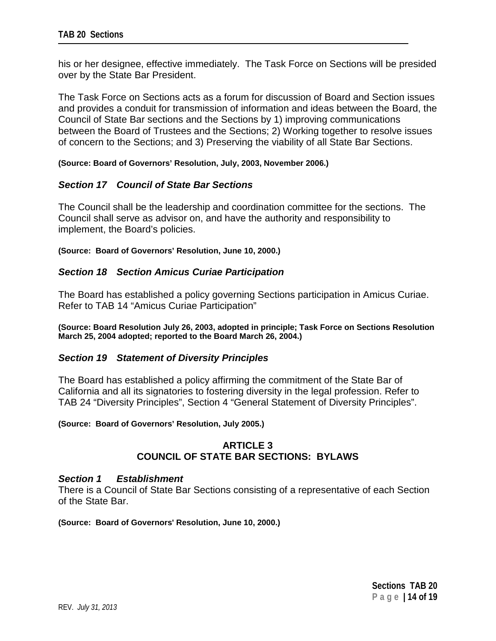his or her designee, effective immediately. The Task Force on Sections will be presided over by the State Bar President.

The Task Force on Sections acts as a forum for discussion of Board and Section issues and provides a conduit for transmission of information and ideas between the Board, the Council of State Bar sections and the Sections by 1) improving communications between the Board of Trustees and the Sections; 2) Working together to resolve issues of concern to the Sections; and 3) Preserving the viability of all State Bar Sections.

**(Source: Board of Governors' Resolution, July, 2003, November 2006.)**

# *Section 17 Council of State Bar Sections*

The Council shall be the leadership and coordination committee for the sections. The Council shall serve as advisor on, and have the authority and responsibility to implement, the Board's policies.

**(Source: Board of Governors' Resolution, June 10, 2000.)**

## *Section 18 Section Amicus Curiae Participation*

The Board has established a policy governing Sections participation in Amicus Curiae. Refer to TAB 14 "Amicus Curiae Participation"

**(Source: Board Resolution July 26, 2003, adopted in principle; Task Force on Sections Resolution March 25, 2004 adopted; reported to the Board March 26, 2004.)**

### *Section 19 Statement of Diversity Principles*

The Board has established a policy affirming the commitment of the State Bar of California and all its signatories to fostering diversity in the legal profession. Refer to TAB 24 "Diversity Principles", Section 4 "General Statement of Diversity Principles".

#### **(Source: Board of Governors' Resolution, July 2005.)**

# **ARTICLE 3 COUNCIL OF STATE BAR SECTIONS: BYLAWS**

### *Section 1 Establishment*

There is a Council of State Bar Sections consisting of a representative of each Section of the State Bar.

**(Source: Board of Governors' Resolution, June 10, 2000.)**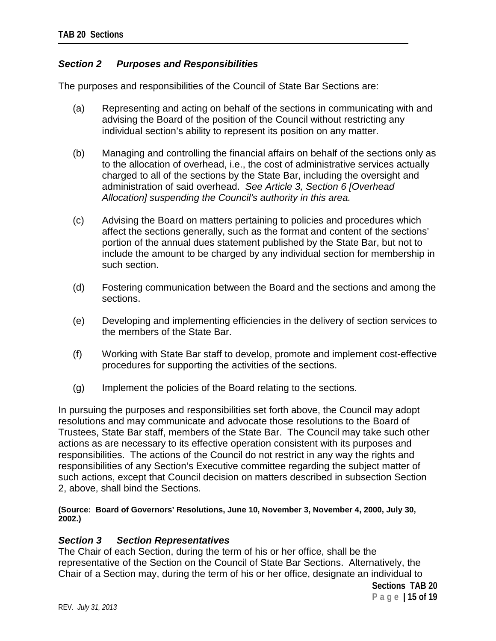# *Section 2 Purposes and Responsibilities*

The purposes and responsibilities of the Council of State Bar Sections are:

- (a) Representing and acting on behalf of the sections in communicating with and advising the Board of the position of the Council without restricting any individual section's ability to represent its position on any matter.
- (b) Managing and controlling the financial affairs on behalf of the sections only as to the allocation of overhead, i.e., the cost of administrative services actually charged to all of the sections by the State Bar, including the oversight and administration of said overhead. *See Article 3, Section 6 [Overhead Allocation] suspending the Council's authority in this area.*
- (c) Advising the Board on matters pertaining to policies and procedures which affect the sections generally, such as the format and content of the sections' portion of the annual dues statement published by the State Bar, but not to include the amount to be charged by any individual section for membership in such section.
- (d) Fostering communication between the Board and the sections and among the sections.
- (e) Developing and implementing efficiencies in the delivery of section services to the members of the State Bar.
- (f) Working with State Bar staff to develop, promote and implement cost-effective procedures for supporting the activities of the sections.
- (g) Implement the policies of the Board relating to the sections.

In pursuing the purposes and responsibilities set forth above, the Council may adopt resolutions and may communicate and advocate those resolutions to the Board of Trustees, State Bar staff, members of the State Bar. The Council may take such other actions as are necessary to its effective operation consistent with its purposes and responsibilities. The actions of the Council do not restrict in any way the rights and responsibilities of any Section's Executive committee regarding the subject matter of such actions, except that Council decision on matters described in subsection Section 2, above, shall bind the Sections.

**(Source: Board of Governors' Resolutions, June 10, November 3, November 4, 2000, July 30, 2002.)**

# *Section 3 Section Representatives*

The Chair of each Section, during the term of his or her office, shall be the representative of the Section on the Council of State Bar Sections. Alternatively, the Chair of a Section may, during the term of his or her office, designate an individual to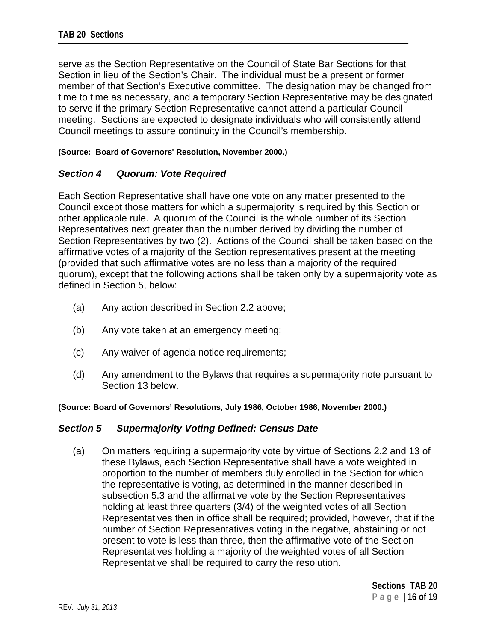serve as the Section Representative on the Council of State Bar Sections for that Section in lieu of the Section's Chair. The individual must be a present or former member of that Section's Executive committee. The designation may be changed from time to time as necessary, and a temporary Section Representative may be designated to serve if the primary Section Representative cannot attend a particular Council meeting. Sections are expected to designate individuals who will consistently attend Council meetings to assure continuity in the Council's membership.

### **(Source: Board of Governors' Resolution, November 2000.)**

# *Section 4 Quorum: Vote Required*

Each Section Representative shall have one vote on any matter presented to the Council except those matters for which a supermajority is required by this Section or other applicable rule. A quorum of the Council is the whole number of its Section Representatives next greater than the number derived by dividing the number of Section Representatives by two (2). Actions of the Council shall be taken based on the affirmative votes of a majority of the Section representatives present at the meeting (provided that such affirmative votes are no less than a majority of the required quorum), except that the following actions shall be taken only by a supermajority vote as defined in Section 5, below:

- (a) Any action described in Section 2.2 above;
- (b) Any vote taken at an emergency meeting;
- (c) Any waiver of agenda notice requirements;
- (d) Any amendment to the Bylaws that requires a supermajority note pursuant to Section 13 below.

**(Source: Board of Governors' Resolutions, July 1986, October 1986, November 2000.)**

# *Section 5 Supermajority Voting Defined: Census Date*

(a) On matters requiring a supermajority vote by virtue of Sections 2.2 and 13 of these Bylaws, each Section Representative shall have a vote weighted in proportion to the number of members duly enrolled in the Section for which the representative is voting, as determined in the manner described in subsection 5.3 and the affirmative vote by the Section Representatives holding at least three quarters (3/4) of the weighted votes of all Section Representatives then in office shall be required; provided, however, that if the number of Section Representatives voting in the negative, abstaining or not present to vote is less than three, then the affirmative vote of the Section Representatives holding a majority of the weighted votes of all Section Representative shall be required to carry the resolution.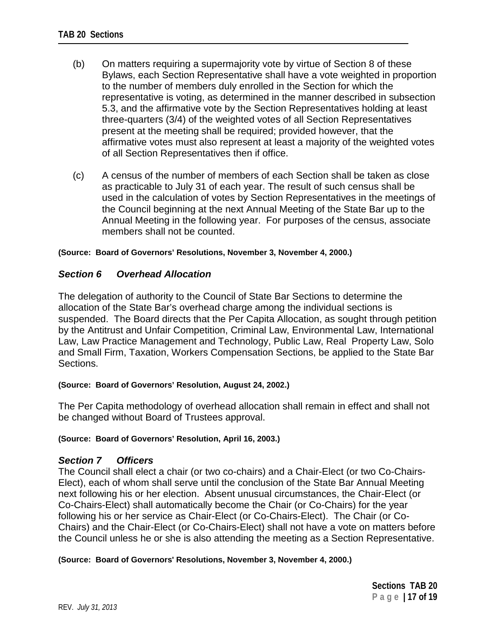- (b) On matters requiring a supermajority vote by virtue of Section 8 of these Bylaws, each Section Representative shall have a vote weighted in proportion to the number of members duly enrolled in the Section for which the representative is voting, as determined in the manner described in subsection 5.3, and the affirmative vote by the Section Representatives holding at least three-quarters (3/4) of the weighted votes of all Section Representatives present at the meeting shall be required; provided however, that the affirmative votes must also represent at least a majority of the weighted votes of all Section Representatives then if office.
- (c) A census of the number of members of each Section shall be taken as close as practicable to July 31 of each year. The result of such census shall be used in the calculation of votes by Section Representatives in the meetings of the Council beginning at the next Annual Meeting of the State Bar up to the Annual Meeting in the following year. For purposes of the census, associate members shall not be counted.

### **(Source: Board of Governors' Resolutions, November 3, November 4, 2000.)**

## *Section 6 Overhead Allocation*

The delegation of authority to the Council of State Bar Sections to determine the allocation of the State Bar's overhead charge among the individual sections is suspended. The Board directs that the Per Capita Allocation, as sought through petition by the Antitrust and Unfair Competition, Criminal Law, Environmental Law, International Law, Law Practice Management and Technology, Public Law, Real Property Law, Solo and Small Firm, Taxation, Workers Compensation Sections, be applied to the State Bar Sections.

### **(Source: Board of Governors' Resolution, August 24, 2002.)**

The Per Capita methodology of overhead allocation shall remain in effect and shall not be changed without Board of Trustees approval.

#### **(Source: Board of Governors' Resolution, April 16, 2003.)**

### *Section 7 Officers*

The Council shall elect a chair (or two co-chairs) and a Chair-Elect (or two Co-Chairs-Elect), each of whom shall serve until the conclusion of the State Bar Annual Meeting next following his or her election. Absent unusual circumstances, the Chair-Elect (or Co-Chairs-Elect) shall automatically become the Chair (or Co-Chairs) for the year following his or her service as Chair-Elect (or Co-Chairs-Elect). The Chair (or Co-Chairs) and the Chair-Elect (or Co-Chairs-Elect) shall not have a vote on matters before the Council unless he or she is also attending the meeting as a Section Representative.

#### **(Source: Board of Governors' Resolutions, November 3, November 4, 2000.)**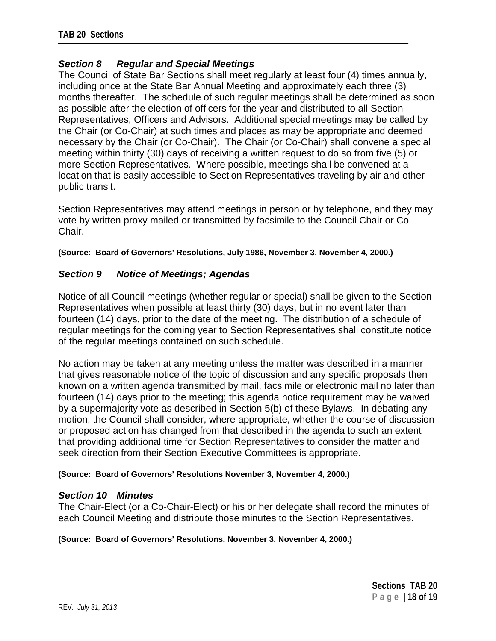# *Section 8 Regular and Special Meetings*

The Council of State Bar Sections shall meet regularly at least four (4) times annually, including once at the State Bar Annual Meeting and approximately each three (3) months thereafter. The schedule of such regular meetings shall be determined as soon as possible after the election of officers for the year and distributed to all Section Representatives, Officers and Advisors. Additional special meetings may be called by the Chair (or Co-Chair) at such times and places as may be appropriate and deemed necessary by the Chair (or Co-Chair). The Chair (or Co-Chair) shall convene a special meeting within thirty (30) days of receiving a written request to do so from five (5) or more Section Representatives. Where possible, meetings shall be convened at a location that is easily accessible to Section Representatives traveling by air and other public transit.

Section Representatives may attend meetings in person or by telephone, and they may vote by written proxy mailed or transmitted by facsimile to the Council Chair or Co-Chair.

**(Source: Board of Governors' Resolutions, July 1986, November 3, November 4, 2000.)**

# *Section 9 Notice of Meetings; Agendas*

Notice of all Council meetings (whether regular or special) shall be given to the Section Representatives when possible at least thirty (30) days, but in no event later than fourteen (14) days, prior to the date of the meeting. The distribution of a schedule of regular meetings for the coming year to Section Representatives shall constitute notice of the regular meetings contained on such schedule.

No action may be taken at any meeting unless the matter was described in a manner that gives reasonable notice of the topic of discussion and any specific proposals then known on a written agenda transmitted by mail, facsimile or electronic mail no later than fourteen (14) days prior to the meeting; this agenda notice requirement may be waived by a supermajority vote as described in Section 5(b) of these Bylaws. In debating any motion, the Council shall consider, where appropriate, whether the course of discussion or proposed action has changed from that described in the agenda to such an extent that providing additional time for Section Representatives to consider the matter and seek direction from their Section Executive Committees is appropriate.

### **(Source: Board of Governors' Resolutions November 3, November 4, 2000.)**

### *Section 10 Minutes*

The Chair-Elect (or a Co-Chair-Elect) or his or her delegate shall record the minutes of each Council Meeting and distribute those minutes to the Section Representatives.

### **(Source: Board of Governors' Resolutions, November 3, November 4, 2000.)**